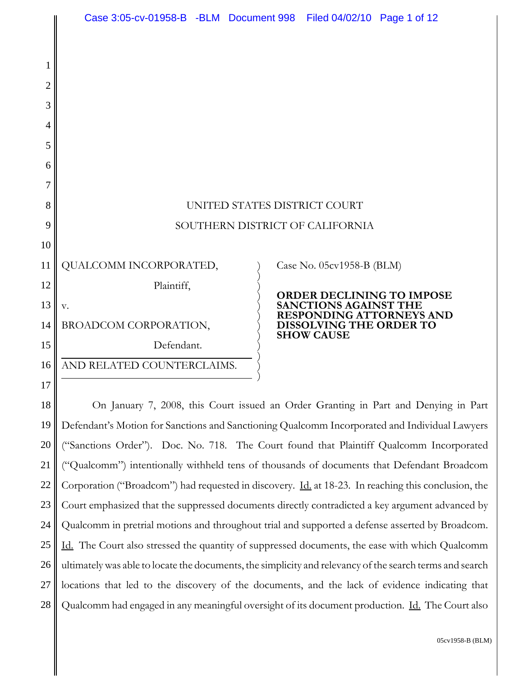

18 19 20 21 22 23 24 25 26 27 28 On January 7, 2008, this Court issued an Order Granting in Part and Denying in Part Defendant's Motion for Sanctions and Sanctioning Qualcomm Incorporated and Individual Lawyers ("Sanctions Order"). Doc. No. 718. The Court found that Plaintiff Qualcomm Incorporated ("Qualcomm") intentionally withheld tens of thousands of documents that Defendant Broadcom Corporation ("Broadcom") had requested in discovery. <u>Id.</u> at 18-23. In reaching this conclusion, the Court emphasized that the suppressed documents directly contradicted a key argument advanced by Qualcomm in pretrial motions and throughout trial and supported a defense asserted by Broadcom. Id. The Court also stressed the quantity of suppressed documents, the ease with which Qualcomm ultimately was able to locate the documents, the simplicity and relevancy of the search terms and search locations that led to the discovery of the documents, and the lack of evidence indicating that Qualcomm had engaged in any meaningful oversight of its document production. Id. The Court also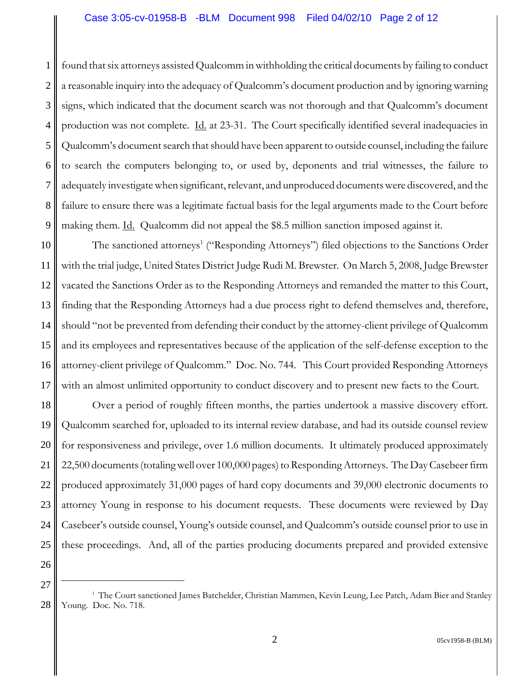## Case 3:05-cv-01958-B -BLM Document 998 Filed 04/02/10 Page 2 of 12

1 2 3 4 5 6 7 8 9 found that six attorneys assisted Qualcomm in withholding the critical documents by failing to conduct a reasonable inquiry into the adequacy of Qualcomm's document production and by ignoring warning signs, which indicated that the document search was not thorough and that Qualcomm's document production was not complete. Id. at 23-31. The Court specifically identified several inadequacies in Qualcomm's document search that should have been apparent to outside counsel, including the failure to search the computers belonging to, or used by, deponents and trial witnesses, the failure to adequately investigate when significant, relevant, and unproduced documents were discovered, and the failure to ensure there was a legitimate factual basis for the legal arguments made to the Court before making them. Id. Qualcomm did not appeal the \$8.5 million sanction imposed against it.

10 11 12 13 14 15 16 17 The sanctioned attorneys<sup>1</sup> ("Responding Attorneys") filed objections to the Sanctions Order with the trial judge, United States District Judge Rudi M. Brewster. On March 5, 2008, Judge Brewster vacated the Sanctions Order as to the Responding Attorneys and remanded the matter to this Court, finding that the Responding Attorneys had a due process right to defend themselves and, therefore, should "not be prevented from defending their conduct by the attorney-client privilege of Qualcomm and its employees and representatives because of the application of the self-defense exception to the attorney-client privilege of Qualcomm." Doc. No. 744. This Court provided Responding Attorneys with an almost unlimited opportunity to conduct discovery and to present new facts to the Court.

18 19 20 21 22 23 24 25 Over a period of roughly fifteen months, the parties undertook a massive discovery effort. Qualcomm searched for, uploaded to its internal review database, and had its outside counsel review for responsiveness and privilege, over 1.6 million documents. It ultimately produced approximately 22,500 documents (totaling well over 100,000 pages) to Responding Attorneys. The Day Casebeer firm produced approximately 31,000 pages of hard copy documents and 39,000 electronic documents to attorney Young in response to his document requests. These documents were reviewed by Day Casebeer's outside counsel, Young's outside counsel, and Qualcomm's outside counsel prior to use in these proceedings. And, all of the parties producing documents prepared and provided extensive

<sup>28</sup> <sup>1</sup> The Court sanctioned James Batchelder, Christian Mammen, Kevin Leung, Lee Patch, Adam Bier and Stanley Young. Doc. No. 718.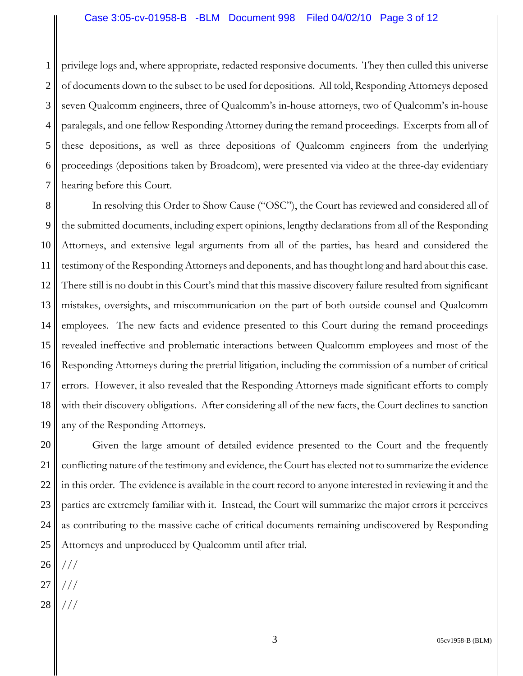1 2 3 4 5 6 7 privilege logs and, where appropriate, redacted responsive documents. They then culled this universe of documents down to the subset to be used for depositions. All told, Responding Attorneys deposed seven Qualcomm engineers, three of Qualcomm's in-house attorneys, two of Qualcomm's in-house paralegals, and one fellow Responding Attorney during the remand proceedings. Excerpts from all of these depositions, as well as three depositions of Qualcomm engineers from the underlying proceedings (depositions taken by Broadcom), were presented via video at the three-day evidentiary hearing before this Court.

8 9 10 11 12 13 14 15 16 17 18 19 In resolving this Order to Show Cause ("OSC"), the Court has reviewed and considered all of the submitted documents, including expert opinions, lengthy declarations from all of the Responding Attorneys, and extensive legal arguments from all of the parties, has heard and considered the testimony of the Responding Attorneys and deponents, and has thought long and hard about this case. There still is no doubt in this Court's mind that this massive discovery failure resulted from significant mistakes, oversights, and miscommunication on the part of both outside counsel and Qualcomm employees. The new facts and evidence presented to this Court during the remand proceedings revealed ineffective and problematic interactions between Qualcomm employees and most of the Responding Attorneys during the pretrial litigation, including the commission of a number of critical errors. However, it also revealed that the Responding Attorneys made significant efforts to comply with their discovery obligations. After considering all of the new facts, the Court declines to sanction any of the Responding Attorneys.

20 21 22 23 24 25 Given the large amount of detailed evidence presented to the Court and the frequently conflicting nature of the testimony and evidence, the Court has elected not to summarize the evidence in this order. The evidence is available in the court record to anyone interested in reviewing it and the parties are extremely familiar with it. Instead, the Court will summarize the major errors it perceives as contributing to the massive cache of critical documents remaining undiscovered by Responding Attorneys and unproduced by Qualcomm until after trial.

- 26 ///
- 27 ///
- 28 ///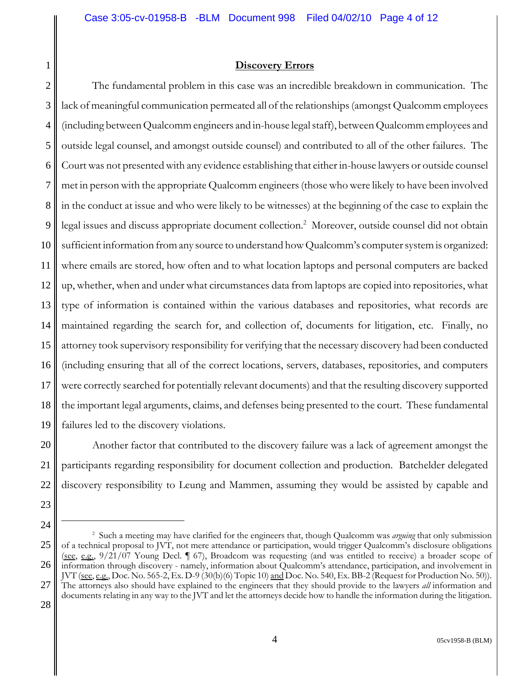## **Discovery Errors**

2 3 4 5 6 7 8 9 10 11 12 13 14 15 16 17 18 19 The fundamental problem in this case was an incredible breakdown in communication. The lack of meaningful communication permeated all of the relationships (amongst Qualcomm employees (including between Qualcomm engineers and in-house legal staff), between Qualcomm employees and outside legal counsel, and amongst outside counsel) and contributed to all of the other failures. The Court was not presented with any evidence establishing that either in-house lawyers or outside counsel met in person with the appropriate Qualcomm engineers (those who were likely to have been involved in the conduct at issue and who were likely to be witnesses) at the beginning of the case to explain the legal issues and discuss appropriate document collection.<sup>2</sup> Moreover, outside counsel did not obtain sufficient information from any source to understand how Qualcomm's computer system is organized: where emails are stored, how often and to what location laptops and personal computers are backed up, whether, when and under what circumstances data from laptops are copied into repositories, what type of information is contained within the various databases and repositories, what records are maintained regarding the search for, and collection of, documents for litigation, etc. Finally, no attorney took supervisory responsibility for verifying that the necessary discovery had been conducted (including ensuring that all of the correct locations, servers, databases, repositories, and computers were correctly searched for potentially relevant documents) and that the resulting discovery supported the important legal arguments, claims, and defenses being presented to the court. These fundamental failures led to the discovery violations.

20 21 22 Another factor that contributed to the discovery failure was a lack of agreement amongst the participants regarding responsibility for document collection and production. Batchelder delegated discovery responsibility to Leung and Mammen, assuming they would be assisted by capable and

23 24

<sup>25</sup> 26 27 2 Such a meeting may have clarified for the engineers that, though Qualcomm was *arguing* that only submission of a technical proposal to JVT, not mere attendance or participation, would trigger Qualcomm's disclosure obligations (see, e.g., 9/21/07 Young Decl. ¶ 67), Broadcom was requesting (and was entitled to receive) a broader scope of information through discovery - namely, information about Qualcomm's attendance, participation, and involvement in JVT (see, e.g., Doc. No. 565-2, Ex. D-9 (30(b)(6) Topic 10) and Doc. No. 540, Ex. BB-2 (Request for Production No. 50)). The attorneys also should have explained to the engineers that they should provide to the lawyers *all* information and documents relating in any way to the JVT and let the attorneys decide how to handle the information during the litigation.

<sup>28</sup>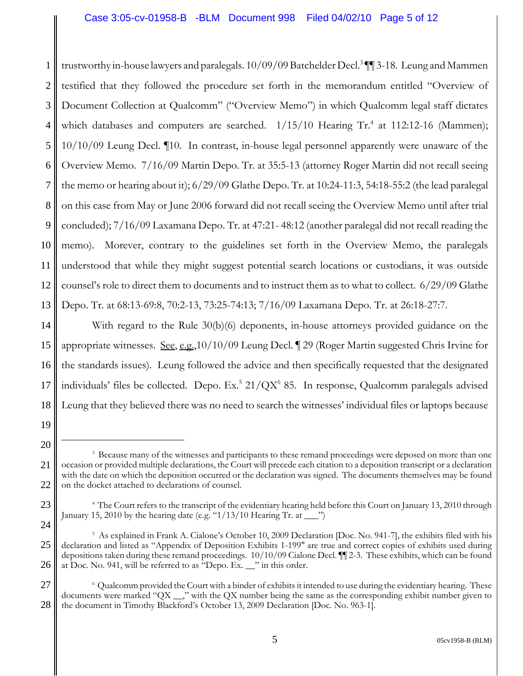1 2 3 4 5 6 7 8 9 10 11 12 13 trustworthy in-house lawyers and paralegals. 10/09/09 Batchelder Decl.<sup>3</sup> ¶¶ 3-18. Leung and Mammen testified that they followed the procedure set forth in the memorandum entitled "Overview of Document Collection at Qualcomm" ("Overview Memo") in which Qualcomm legal staff dictates which databases and computers are searched.  $1/15/10$  Hearing Tr.<sup>4</sup> at 112:12-16 (Mammen); 10/10/09 Leung Decl. ¶10. In contrast, in-house legal personnel apparently were unaware of the Overview Memo. 7/16/09 Martin Depo. Tr. at 35:5-13 (attorney Roger Martin did not recall seeing the memo or hearing about it); 6/29/09 Glathe Depo. Tr. at 10:24-11:3, 54:18-55:2 (the lead paralegal on this case from May or June 2006 forward did not recall seeing the Overview Memo until after trial concluded); 7/16/09 Laxamana Depo. Tr. at 47:21- 48:12 (another paralegal did not recall reading the memo). Morever, contrary to the guidelines set forth in the Overview Memo, the paralegals understood that while they might suggest potential search locations or custodians, it was outside counsel's role to direct them to documents and to instruct them as to what to collect. 6/29/09 Glathe Depo. Tr. at 68:13-69:8, 70:2-13, 73:25-74:13; 7/16/09 Laxamana Depo. Tr. at 26:18-27:7.

14 15 16 17 18 With regard to the Rule 30(b)(6) deponents, in-house attorneys provided guidance on the appropriate witnesses. See, e.g.,10/10/09 Leung Decl. ¶ 29 (Roger Martin suggested Chris Irvine for the standards issues). Leung followed the advice and then specifically requested that the designated individuals' files be collected. Depo. Ex.<sup>5</sup> 21/QX<sup>6</sup> 85. In response, Qualcomm paralegals advised Leung that they believed there was no need to search the witnesses' individual files or laptops because

19

20

23

<sup>21</sup> 22 <sup>3</sup> Because many of the witnesses and participants to these remand proceedings were deposed on more than one occasion or provided multiple declarations, the Court will precede each citation to a deposition transcript or a declaration with the date on which the deposition occurred or the declaration was signed. The documents themselves may be found on the docket attached to declarations of counsel.

<sup>&</sup>lt;sup>4</sup> The Court refers to the transcript of the evidentiary hearing held before this Court on January 13, 2010 through January 15, 2010 by the hearing date (e.g. " $1/13/10$  Hearing Tr. at  $\Box$ ")

<sup>25</sup> 26 5 As explained in Frank A. Cialone's October 10, 2009 Declaration [Doc. No. 941-7], the exhibits filed with his declaration and listed as "Appendix of Deposition Exhibits 1-199" are true and correct copies of exhibits used during depositions taken during these remand proceedings. 10/10/09 Cialone Decl. ¶¶ 2-3. These exhibits, which can be found at Doc. No. 941, will be referred to as "Depo. Ex. \_\_" in this order.

<sup>27</sup> 28 6 Qualcomm provided the Court with a binder of exhibits it intended to use during the evidentiary hearing. These documents were marked "QX \_\_," with the QX number being the same as the corresponding exhibit number given to the document in Timothy Blackford's October 13, 2009 Declaration [Doc. No. 963-1].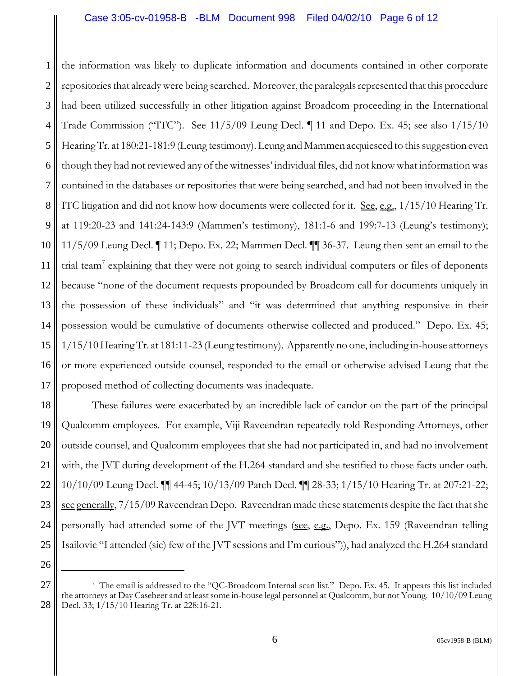1 2 3 4 5 6 7 8 9 10 11 12 13 14 15 16 17 the information was likely to duplicate information and documents contained in other corporate repositories that already were being searched. Moreover, the paralegals represented that this procedure had been utilized successfully in other litigation against Broadcom proceeding in the International Trade Commission ("ITC"). See 11/5/09 Leung Decl. 11 and Depo. Ex. 45; see also 1/15/10 Hearing Tr. at 180:21-181:9 (Leung testimony). Leung and Mammen acquiesced to this suggestion even though they had not reviewed any of the witnesses' individual files, did not know what information was contained in the databases or repositories that were being searched, and had not been involved in the ITC litigation and did not know how documents were collected for it. See, e.g.,  $1/15/10$  Hearing Tr. at 119:20-23 and 141:24-143:9 (Mammen's testimony), 181:1-6 and 199:7-13 (Leung's testimony); 11/5/09 Leung Decl. ¶ 11; Depo. Ex. 22; Mammen Decl. ¶¶ 36-37. Leung then sent an email to the trial team<sup>7</sup> explaining that they were not going to search individual computers or files of deponents because "none of the document requests propounded by Broadcom call for documents uniquely in the possession of these individuals" and "it was determined that anything responsive in their possession would be cumulative of documents otherwise collected and produced." Depo. Ex. 45; 1/15/10 Hearing Tr. at 181:11-23 (Leung testimony). Apparently no one, including in-house attorneys or more experienced outside counsel, responded to the email or otherwise advised Leung that the proposed method of collecting documents was inadequate.

18 19 20 21 22 23 24 25 These failures were exacerbated by an incredible lack of candor on the part of the principal Qualcomm employees. For example, Viji Raveendran repeatedly told Responding Attorneys, other outside counsel, and Qualcomm employees that she had not participated in, and had no involvement with, the JVT during development of the H.264 standard and she testified to those facts under oath. 10/10/09 Leung Decl. ¶¶ 44-45; 10/13/09 Patch Decl. ¶¶ 28-33; 1/15/10 Hearing Tr. at 207:21-22; see generally, 7/15/09 Raveendran Depo. Raveendran made these statements despite the fact that she personally had attended some of the JVT meetings (see, e.g., Depo. Ex. 159 (Raveendran telling Isailovic "I attended (sic) few of the JVT sessions and I'm curious")), had analyzed the H.264 standard

<sup>26</sup> 27

<sup>28</sup> 7 The email is addressed to the "QC-Broadcom Internal scan list." Depo. Ex. 45. It appears this list included the attorneys at Day Casebeer and at least some in-house legal personnel at Qualcomm, but not Young. 10/10/09 Leung Decl. 33; 1/15/10 Hearing Tr. at 228:16-21.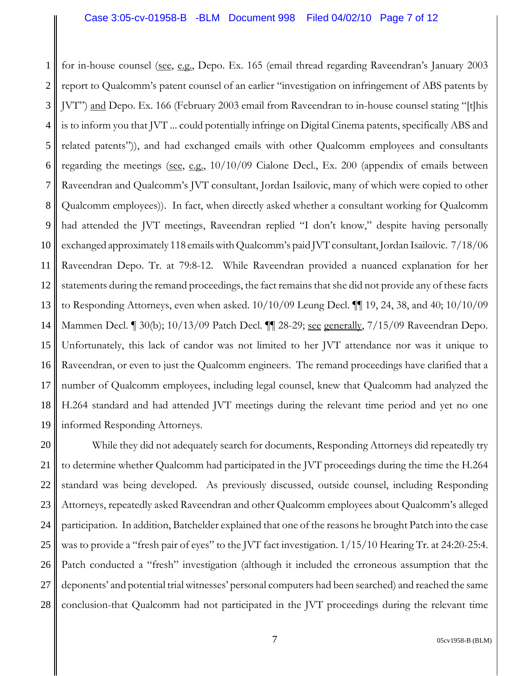1 2 3 4 5 6 7 8 9 10 11 12 13 14 15 16 17 18 19 for in-house counsel (see, e.g., Depo. Ex. 165 (email thread regarding Raveendran's January 2003 report to Qualcomm's patent counsel of an earlier "investigation on infringement of ABS patents by JVT") and Depo. Ex. 166 (February 2003 email from Raveendran to in-house counsel stating "[t]his is to inform you that JVT ... could potentially infringe on Digital Cinema patents, specifically ABS and related patents")), and had exchanged emails with other Qualcomm employees and consultants regarding the meetings (see, e.g.,  $10/10/09$  Cialone Decl., Ex. 200 (appendix of emails between Raveendran and Qualcomm's JVT consultant, Jordan Isailovic, many of which were copied to other Qualcomm employees)). In fact, when directly asked whether a consultant working for Qualcomm had attended the JVT meetings, Raveendran replied "I don't know," despite having personally exchanged approximately 118 emails with Qualcomm's paid JVT consultant, Jordan Isailovic. 7/18/06 Raveendran Depo. Tr. at 79:8-12. While Raveendran provided a nuanced explanation for her statements during the remand proceedings, the fact remains that she did not provide any of these facts to Responding Attorneys, even when asked. 10/10/09 Leung Decl. ¶¶ 19, 24, 38, and 40; 10/10/09 Mammen Decl. ¶ 30(b); 10/13/09 Patch Decl. ¶¶ 28-29; see generally, 7/15/09 Raveendran Depo. Unfortunately, this lack of candor was not limited to her JVT attendance nor was it unique to Raveendran, or even to just the Qualcomm engineers. The remand proceedings have clarified that a number of Qualcomm employees, including legal counsel, knew that Qualcomm had analyzed the H.264 standard and had attended JVT meetings during the relevant time period and yet no one informed Responding Attorneys.

20 21 22 23 24 25 26 27 28 While they did not adequately search for documents, Responding Attorneys did repeatedly try to determine whether Qualcomm had participated in the JVT proceedings during the time the H.264 standard was being developed. As previously discussed, outside counsel, including Responding Attorneys, repeatedly asked Raveendran and other Qualcomm employees about Qualcomm's alleged participation. In addition, Batchelder explained that one of the reasons he brought Patch into the case was to provide a "fresh pair of eyes" to the JVT fact investigation. 1/15/10 Hearing Tr. at 24:20-25:4. Patch conducted a "fresh" investigation (although it included the erroneous assumption that the deponents' and potential trial witnesses' personal computers had been searched) and reached the same conclusion-that Qualcomm had not participated in the JVT proceedings during the relevant time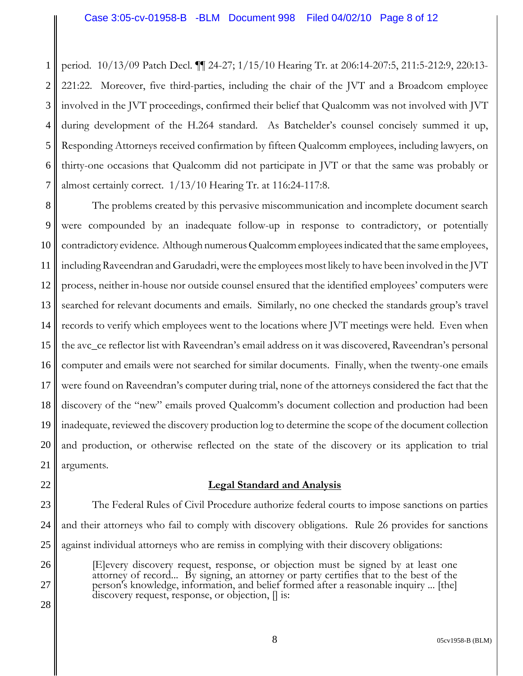1 2 3 4 5 6 7 period. 10/13/09 Patch Decl. ¶¶ 24-27; 1/15/10 Hearing Tr. at 206:14-207:5, 211:5-212:9, 220:13- 221:22. Moreover, five third-parties, including the chair of the JVT and a Broadcom employee involved in the JVT proceedings, confirmed their belief that Qualcomm was not involved with JVT during development of the H.264 standard. As Batchelder's counsel concisely summed it up, Responding Attorneys received confirmation by fifteen Qualcomm employees, including lawyers, on thirty-one occasions that Qualcomm did not participate in JVT or that the same was probably or almost certainly correct. 1/13/10 Hearing Tr. at 116:24-117:8.

8 9 10 11 12 13 14 15 16 17 18 19 20 21 The problems created by this pervasive miscommunication and incomplete document search were compounded by an inadequate follow-up in response to contradictory, or potentially contradictory evidence. Although numerous Qualcomm employees indicated that the same employees, including Raveendran and Garudadri, were the employees most likely to have been involved in the JVT process, neither in-house nor outside counsel ensured that the identified employees' computers were searched for relevant documents and emails. Similarly, no one checked the standards group's travel records to verify which employees went to the locations where JVT meetings were held. Even when the avc\_ce reflector list with Raveendran's email address on it was discovered, Raveendran's personal computer and emails were not searched for similar documents. Finally, when the twenty-one emails were found on Raveendran's computer during trial, none of the attorneys considered the fact that the discovery of the "new" emails proved Qualcomm's document collection and production had been inadequate, reviewed the discovery production log to determine the scope of the document collection and production, or otherwise reflected on the state of the discovery or its application to trial arguments.

22

26

27

28

## **Legal Standard and Analysis**

23 24 25 The Federal Rules of Civil Procedure authorize federal courts to impose sanctions on parties and their attorneys who fail to comply with discovery obligations. Rule 26 provides for sanctions against individual attorneys who are remiss in complying with their discovery obligations:

[E]every discovery request, response, or objection must be signed by at least one attorney of record... By signing, an attorney or party certifies that to the best of the person's knowledge, information, and belief formed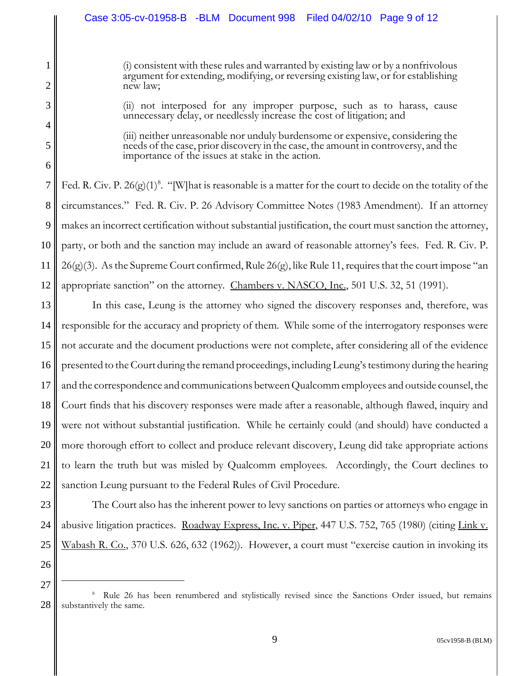(i) consistent with these rules and warranted by existing law or by a nonfrivolous argument for extending, modifying, or reversing existing law, or for establishing new law;

(ii) not interposed for any improper purpose, such as to harass, cause unnecessary delay, or needlessly increase the cost of litigation; and

(iii) neither unreasonable nor unduly burdensome or expensive, considering the needs of the case, prior discovery in the case, the amount in controversy, and the importance of the issues at stake in the action.

7 8 9 10 11 12 Fed. R. Civ. P. 26 $(g)(1)^8$ . "[W]hat is reasonable is a matter for the court to decide on the totality of the circumstances." Fed. R. Civ. P. 26 Advisory Committee Notes (1983 Amendment). If an attorney makes an incorrect certification without substantial justification, the court must sanction the attorney, party, or both and the sanction may include an award of reasonable attorney's fees. Fed. R. Civ. P. 26(g)(3). As the Supreme Court confirmed, Rule 26(g), like Rule 11, requires that the court impose "an appropriate sanction" on the attorney. Chambers v. NASCO, Inc., 501 U.S. 32, 51 (1991).

13 14 15 16 17 18 19 20 21 22 In this case, Leung is the attorney who signed the discovery responses and, therefore, was responsible for the accuracy and propriety of them. While some of the interrogatory responses were not accurate and the document productions were not complete, after considering all of the evidence presented to the Court during the remand proceedings, including Leung's testimony during the hearing and the correspondence and communications between Qualcomm employees and outside counsel, the Court finds that his discovery responses were made after a reasonable, although flawed, inquiry and were not without substantial justification. While he certainly could (and should) have conducted a more thorough effort to collect and produce relevant discovery, Leung did take appropriate actions to learn the truth but was misled by Qualcomm employees. Accordingly, the Court declines to sanction Leung pursuant to the Federal Rules of Civil Procedure.

23 24 25 The Court also has the inherent power to levy sanctions on parties or attorneys who engage in abusive litigation practices. Roadway Express, Inc. v. Piper, 447 U.S. 752, 765 (1980) (citing Link v. Wabash R. Co., 370 U.S. 626, 632 (1962)). However, a court must "exercise caution in invoking its

26 27

1

2

3

4

5

<sup>28</sup> <sup>8</sup> Rule 26 has been renumbered and stylistically revised since the Sanctions Order issued, but remains substantively the same.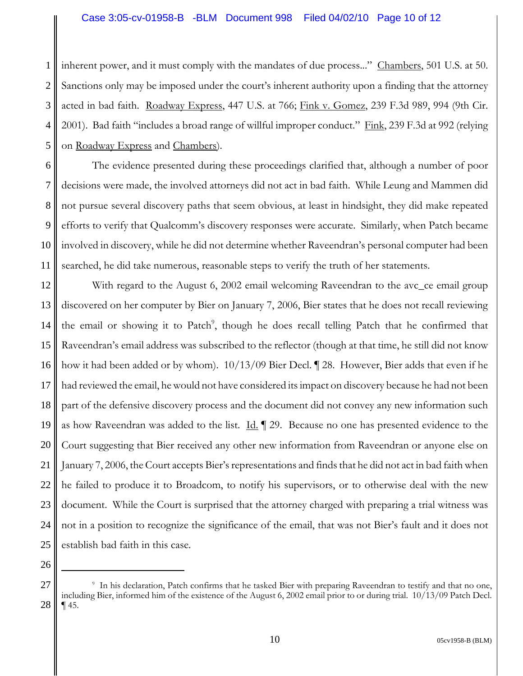1 2 3 4 5 inherent power, and it must comply with the mandates of due process..." Chambers, 501 U.S. at 50. Sanctions only may be imposed under the court's inherent authority upon a finding that the attorney acted in bad faith. Roadway Express, 447 U.S. at 766; Fink v. Gomez, 239 F.3d 989, 994 (9th Cir. 2001). Bad faith "includes a broad range of willful improper conduct." Fink, 239 F.3d at 992 (relying on Roadway Express and Chambers).

6 7 8 9 10 11 The evidence presented during these proceedings clarified that, although a number of poor decisions were made, the involved attorneys did not act in bad faith. While Leung and Mammen did not pursue several discovery paths that seem obvious, at least in hindsight, they did make repeated efforts to verify that Qualcomm's discovery responses were accurate. Similarly, when Patch became involved in discovery, while he did not determine whether Raveendran's personal computer had been searched, he did take numerous, reasonable steps to verify the truth of her statements.

12 13 14 15 16 17 18 19 20 21 22 23 24 25 With regard to the August 6, 2002 email welcoming Raveendran to the avc\_ce email group discovered on her computer by Bier on January 7, 2006, Bier states that he does not recall reviewing the email or showing it to Patch<sup>9</sup>, though he does recall telling Patch that he confirmed that Raveendran's email address was subscribed to the reflector (though at that time, he still did not know how it had been added or by whom). 10/13/09 Bier Decl. ¶ 28. However, Bier adds that even if he had reviewed the email, he would not have considered its impact on discovery because he had not been part of the defensive discovery process and the document did not convey any new information such as how Raveendran was added to the list.  $\underline{Id}$ .  $\P$  29. Because no one has presented evidence to the Court suggesting that Bier received any other new information from Raveendran or anyone else on January 7, 2006, the Court accepts Bier's representations and finds that he did not act in bad faith when he failed to produce it to Broadcom, to notify his supervisors, or to otherwise deal with the new document. While the Court is surprised that the attorney charged with preparing a trial witness was not in a position to recognize the significance of the email, that was not Bier's fault and it does not establish bad faith in this case.

<sup>27</sup> 28 9 In his declaration, Patch confirms that he tasked Bier with preparing Raveendran to testify and that no one, including Bier, informed him of the existence of the August 6, 2002 email prior to or during trial. 10/13/09 Patch Decl. ¶ 45.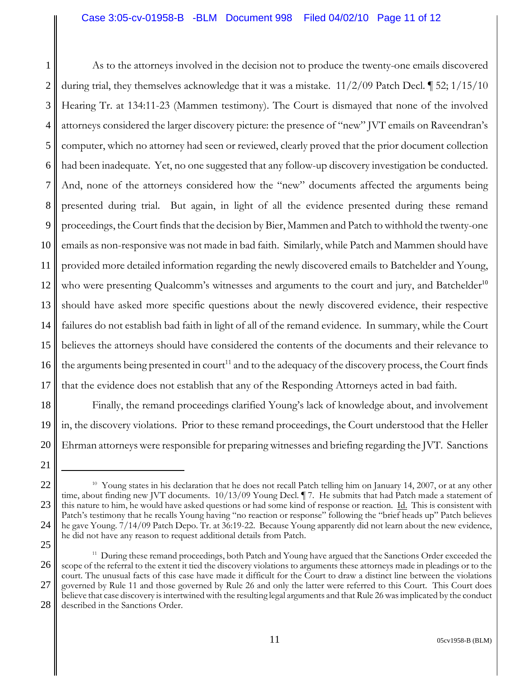1 2 3 4 5 6 7 8 9 10 11 12 13 14 15 16 17 As to the attorneys involved in the decision not to produce the twenty-one emails discovered during trial, they themselves acknowledge that it was a mistake. 11/2/09 Patch Decl. ¶ 52; 1/15/10 Hearing Tr. at 134:11-23 (Mammen testimony). The Court is dismayed that none of the involved attorneys considered the larger discovery picture: the presence of "new" JVT emails on Raveendran's computer, which no attorney had seen or reviewed, clearly proved that the prior document collection had been inadequate. Yet, no one suggested that any follow-up discovery investigation be conducted. And, none of the attorneys considered how the "new" documents affected the arguments being presented during trial. But again, in light of all the evidence presented during these remand proceedings, the Court finds that the decision by Bier, Mammen and Patch to withhold the twenty-one emails as non-responsive was not made in bad faith. Similarly, while Patch and Mammen should have provided more detailed information regarding the newly discovered emails to Batchelder and Young, who were presenting Qualcomm's witnesses and arguments to the court and jury, and Batchelder<sup>10</sup> should have asked more specific questions about the newly discovered evidence, their respective failures do not establish bad faith in light of all of the remand evidence. In summary, while the Court believes the attorneys should have considered the contents of the documents and their relevance to the arguments being presented in court<sup>11</sup> and to the adequacy of the discovery process, the Court finds that the evidence does not establish that any of the Responding Attorneys acted in bad faith.

18 19 20 Finally, the remand proceedings clarified Young's lack of knowledge about, and involvement in, the discovery violations. Prior to these remand proceedings, the Court understood that the Heller Ehrman attorneys were responsible for preparing witnesses and briefing regarding the JVT. Sanctions

<sup>21</sup> 22

<sup>23</sup> 24 25 <sup>10</sup> Young states in his declaration that he does not recall Patch telling him on January 14, 2007, or at any other time, about finding new JVT documents. 10/13/09 Young Decl. ¶ 7. He submits that had Patch made a statement of this nature to him, he would have asked questions or had some kind of response or reaction. Id. This is consistent with Patch's testimony that he recalls Young having "no reaction or response" following the "brief heads up" Patch believes he gave Young. 7/14/09 Patch Depo. Tr. at 36:19-22. Because Young apparently did not learn about the new evidence, he did not have any reason to request additional details from Patch.

<sup>26</sup> 27 28 <sup>11</sup> During these remand proceedings, both Patch and Young have argued that the Sanctions Order exceeded the scope of the referral to the extent it tied the discovery violations to arguments these attorneys made in pleadings or to the court. The unusual facts of this case have made it difficult for the Court to draw a distinct line between the violations governed by Rule 11 and those governed by Rule 26 and only the latter were referred to this Court. This Court does believe that case discovery is intertwined with the resulting legal arguments and that Rule 26 was implicated by the conduct described in the Sanctions Order.